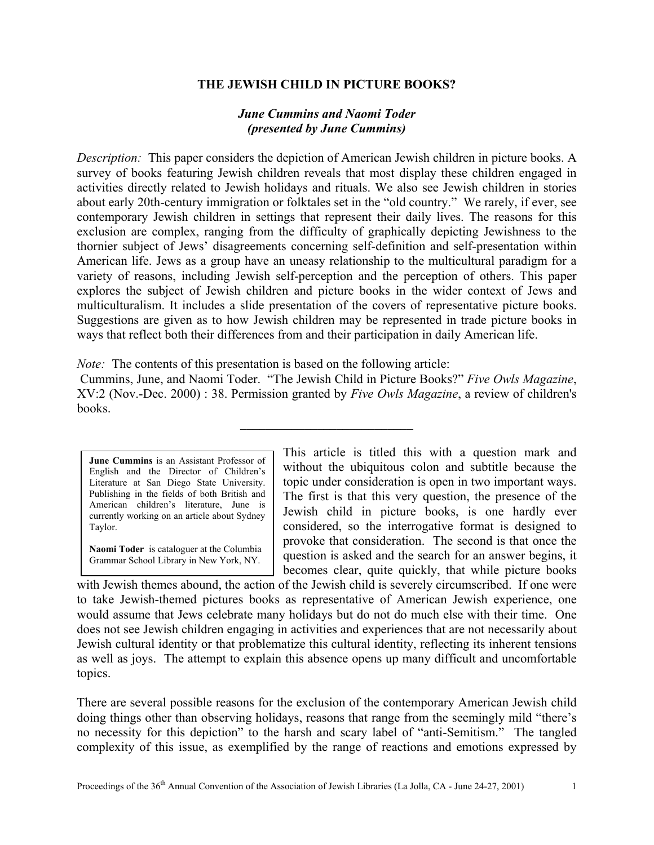## **THE JEWISH CHILD IN PICTURE BOOKS?**

## *June Cummins and Naomi Toder (presented by June Cummins)*

*Description:* This paper considers the depiction of American Jewish children in picture books. A survey of books featuring Jewish children reveals that most display these children engaged in activities directly related to Jewish holidays and rituals. We also see Jewish children in stories about early 20th-century immigration or folktales set in the "old country." We rarely, if ever, see contemporary Jewish children in settings that represent their daily lives. The reasons for this exclusion are complex, ranging from the difficulty of graphically depicting Jewishness to the thornier subject of Jews' disagreements concerning self-definition and self-presentation within American life. Jews as a group have an uneasy relationship to the multicultural paradigm for a variety of reasons, including Jewish self-perception and the perception of others. This paper explores the subject of Jewish children and picture books in the wider context of Jews and multiculturalism. It includes a slide presentation of the covers of representative picture books. Suggestions are given as to how Jewish children may be represented in trade picture books in ways that reflect both their differences from and their participation in daily American life.

*Note:* The contents of this presentation is based on the following article:

 Cummins, June, and Naomi Toder. "The Jewish Child in Picture Books?" *Five Owls Magazine*, XV:2 (Nov.-Dec. 2000) : 38. Permission granted by *Five Owls Magazine*, a review of children's books.

 $\mathcal{L}_\text{max}$  , where  $\mathcal{L}_\text{max}$  and  $\mathcal{L}_\text{max}$ 

**June Cummins** is an Assistant Professor of English and the Director of Children's Literature at San Diego State University. Publishing in the fields of both British and American children's literature, June is currently working on an article about Sydney Taylor.

**Naomi Toder** is cataloguer at the Columbia Grammar School Library in New York, NY.

This article is titled this with a question mark and without the ubiquitous colon and subtitle because the topic under consideration is open in two important ways. The first is that this very question, the presence of the Jewish child in picture books, is one hardly ever considered, so the interrogative format is designed to provoke that consideration. The second is that once the question is asked and the search for an answer begins, it becomes clear, quite quickly, that while picture books

with Jewish themes abound, the action of the Jewish child is severely circumscribed. If one were to take Jewish-themed pictures books as representative of American Jewish experience, one would assume that Jews celebrate many holidays but do not do much else with their time. One does not see Jewish children engaging in activities and experiences that are not necessarily about Jewish cultural identity or that problematize this cultural identity, reflecting its inherent tensions as well as joys. The attempt to explain this absence opens up many difficult and uncomfortable topics.

There are several possible reasons for the exclusion of the contemporary American Jewish child doing things other than observing holidays, reasons that range from the seemingly mild "there's no necessity for this depiction" to the harsh and scary label of "anti-Semitism." The tangled complexity of this issue, as exemplified by the range of reactions and emotions expressed by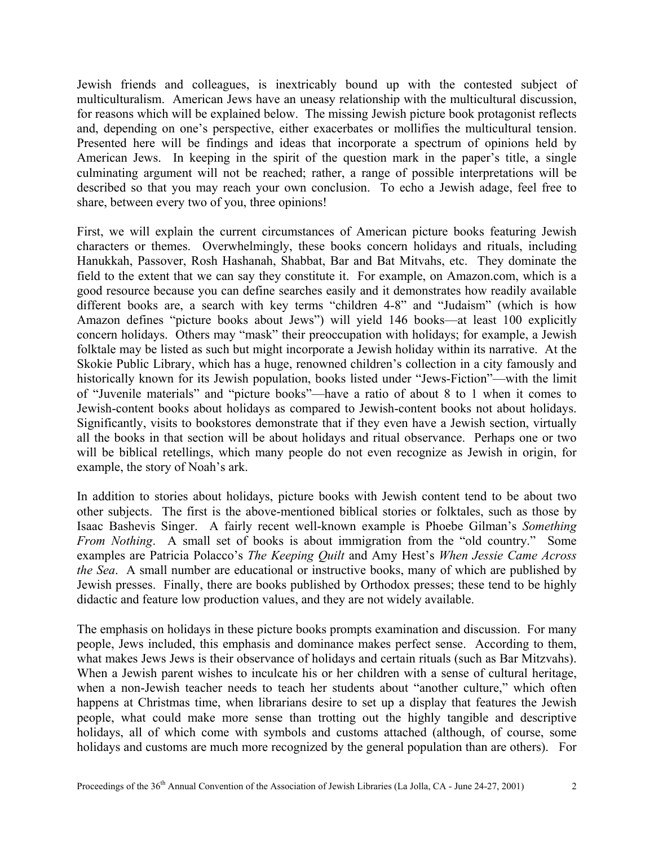Jewish friends and colleagues, is inextricably bound up with the contested subject of multiculturalism. American Jews have an uneasy relationship with the multicultural discussion, for reasons which will be explained below. The missing Jewish picture book protagonist reflects and, depending on one's perspective, either exacerbates or mollifies the multicultural tension. Presented here will be findings and ideas that incorporate a spectrum of opinions held by American Jews. In keeping in the spirit of the question mark in the paper's title, a single culminating argument will not be reached; rather, a range of possible interpretations will be described so that you may reach your own conclusion. To echo a Jewish adage, feel free to share, between every two of you, three opinions!

First, we will explain the current circumstances of American picture books featuring Jewish characters or themes. Overwhelmingly, these books concern holidays and rituals, including Hanukkah, Passover, Rosh Hashanah, Shabbat, Bar and Bat Mitvahs, etc. They dominate the field to the extent that we can say they constitute it. For example, on Amazon.com, which is a good resource because you can define searches easily and it demonstrates how readily available different books are, a search with key terms "children 4-8" and "Judaism" (which is how Amazon defines "picture books about Jews") will yield 146 books—at least 100 explicitly concern holidays. Others may "mask" their preoccupation with holidays; for example, a Jewish folktale may be listed as such but might incorporate a Jewish holiday within its narrative. At the Skokie Public Library, which has a huge, renowned children's collection in a city famously and historically known for its Jewish population, books listed under "Jews-Fiction"—with the limit of "Juvenile materials" and "picture books"—have a ratio of about 8 to 1 when it comes to Jewish-content books about holidays as compared to Jewish-content books not about holidays. Significantly, visits to bookstores demonstrate that if they even have a Jewish section, virtually all the books in that section will be about holidays and ritual observance. Perhaps one or two will be biblical retellings, which many people do not even recognize as Jewish in origin, for example, the story of Noah's ark.

In addition to stories about holidays, picture books with Jewish content tend to be about two other subjects. The first is the above-mentioned biblical stories or folktales, such as those by Isaac Bashevis Singer. A fairly recent well-known example is Phoebe Gilman's *Something From Nothing*. A small set of books is about immigration from the "old country." Some examples are Patricia Polacco's *The Keeping Quilt* and Amy Hest's *When Jessie Came Across the Sea*. A small number are educational or instructive books, many of which are published by Jewish presses. Finally, there are books published by Orthodox presses; these tend to be highly didactic and feature low production values, and they are not widely available.

The emphasis on holidays in these picture books prompts examination and discussion. For many people, Jews included, this emphasis and dominance makes perfect sense. According to them, what makes Jews Jews is their observance of holidays and certain rituals (such as Bar Mitzvahs). When a Jewish parent wishes to inculcate his or her children with a sense of cultural heritage, when a non-Jewish teacher needs to teach her students about "another culture," which often happens at Christmas time, when librarians desire to set up a display that features the Jewish people, what could make more sense than trotting out the highly tangible and descriptive holidays, all of which come with symbols and customs attached (although, of course, some holidays and customs are much more recognized by the general population than are others). For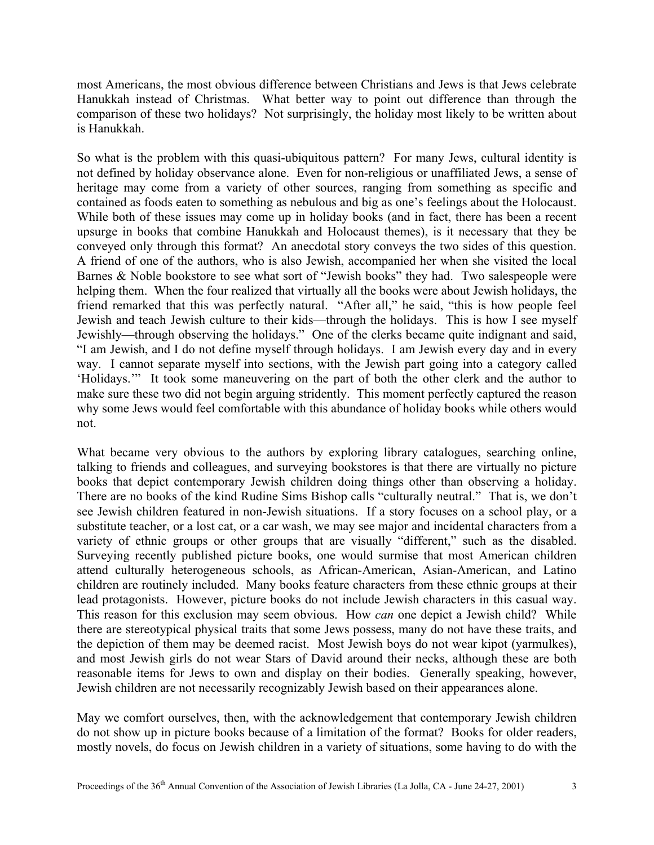most Americans, the most obvious difference between Christians and Jews is that Jews celebrate Hanukkah instead of Christmas. What better way to point out difference than through the comparison of these two holidays? Not surprisingly, the holiday most likely to be written about is Hanukkah.

So what is the problem with this quasi-ubiquitous pattern? For many Jews, cultural identity is not defined by holiday observance alone. Even for non-religious or unaffiliated Jews, a sense of heritage may come from a variety of other sources, ranging from something as specific and contained as foods eaten to something as nebulous and big as one's feelings about the Holocaust. While both of these issues may come up in holiday books (and in fact, there has been a recent upsurge in books that combine Hanukkah and Holocaust themes), is it necessary that they be conveyed only through this format? An anecdotal story conveys the two sides of this question. A friend of one of the authors, who is also Jewish, accompanied her when she visited the local Barnes & Noble bookstore to see what sort of "Jewish books" they had. Two salespeople were helping them. When the four realized that virtually all the books were about Jewish holidays, the friend remarked that this was perfectly natural. "After all," he said, "this is how people feel Jewish and teach Jewish culture to their kids—through the holidays. This is how I see myself Jewishly—through observing the holidays." One of the clerks became quite indignant and said, "I am Jewish, and I do not define myself through holidays. I am Jewish every day and in every way. I cannot separate myself into sections, with the Jewish part going into a category called 'Holidays.'" It took some maneuvering on the part of both the other clerk and the author to make sure these two did not begin arguing stridently. This moment perfectly captured the reason why some Jews would feel comfortable with this abundance of holiday books while others would not.

What became very obvious to the authors by exploring library catalogues, searching online, talking to friends and colleagues, and surveying bookstores is that there are virtually no picture books that depict contemporary Jewish children doing things other than observing a holiday. There are no books of the kind Rudine Sims Bishop calls "culturally neutral." That is, we don't see Jewish children featured in non-Jewish situations. If a story focuses on a school play, or a substitute teacher, or a lost cat, or a car wash, we may see major and incidental characters from a variety of ethnic groups or other groups that are visually "different," such as the disabled. Surveying recently published picture books, one would surmise that most American children attend culturally heterogeneous schools, as African-American, Asian-American, and Latino children are routinely included. Many books feature characters from these ethnic groups at their lead protagonists. However, picture books do not include Jewish characters in this casual way. This reason for this exclusion may seem obvious. How *can* one depict a Jewish child? While there are stereotypical physical traits that some Jews possess, many do not have these traits, and the depiction of them may be deemed racist. Most Jewish boys do not wear kipot (yarmulkes), and most Jewish girls do not wear Stars of David around their necks, although these are both reasonable items for Jews to own and display on their bodies. Generally speaking, however, Jewish children are not necessarily recognizably Jewish based on their appearances alone.

May we comfort ourselves, then, with the acknowledgement that contemporary Jewish children do not show up in picture books because of a limitation of the format? Books for older readers, mostly novels, do focus on Jewish children in a variety of situations, some having to do with the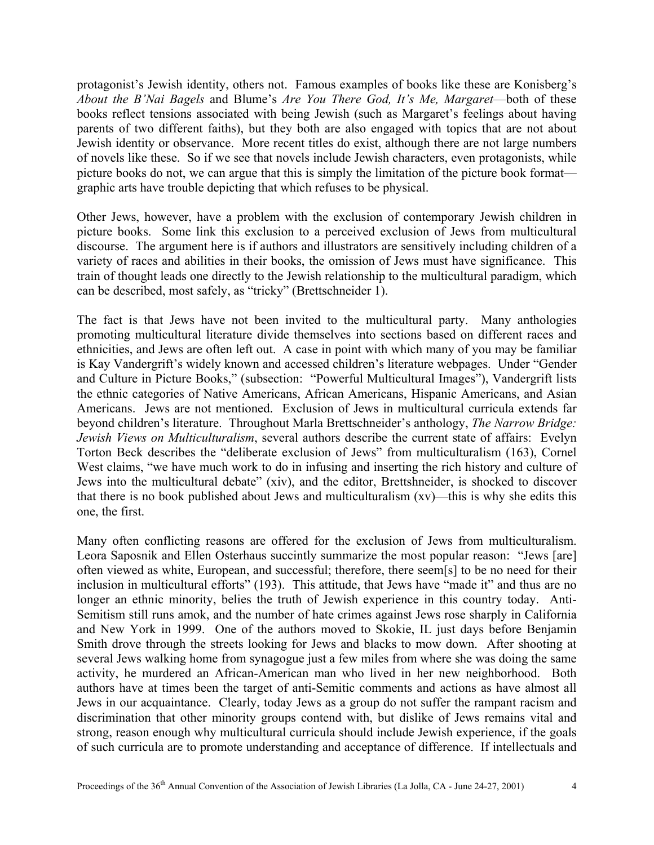protagonist's Jewish identity, others not. Famous examples of books like these are Konisberg's *About the B'Nai Bagels* and Blume's *Are You There God, It's Me, Margaret*—both of these books reflect tensions associated with being Jewish (such as Margaret's feelings about having parents of two different faiths), but they both are also engaged with topics that are not about Jewish identity or observance. More recent titles do exist, although there are not large numbers of novels like these. So if we see that novels include Jewish characters, even protagonists, while picture books do not, we can argue that this is simply the limitation of the picture book format graphic arts have trouble depicting that which refuses to be physical.

Other Jews, however, have a problem with the exclusion of contemporary Jewish children in picture books. Some link this exclusion to a perceived exclusion of Jews from multicultural discourse. The argument here is if authors and illustrators are sensitively including children of a variety of races and abilities in their books, the omission of Jews must have significance. This train of thought leads one directly to the Jewish relationship to the multicultural paradigm, which can be described, most safely, as "tricky" (Brettschneider 1).

The fact is that Jews have not been invited to the multicultural party. Many anthologies promoting multicultural literature divide themselves into sections based on different races and ethnicities, and Jews are often left out. A case in point with which many of you may be familiar is Kay Vandergrift's widely known and accessed children's literature webpages. Under "Gender and Culture in Picture Books," (subsection: "Powerful Multicultural Images"), Vandergrift lists the ethnic categories of Native Americans, African Americans, Hispanic Americans, and Asian Americans. Jews are not mentioned. Exclusion of Jews in multicultural curricula extends far beyond children's literature. Throughout Marla Brettschneider's anthology, *The Narrow Bridge: Jewish Views on Multiculturalism*, several authors describe the current state of affairs: Evelyn Torton Beck describes the "deliberate exclusion of Jews" from multiculturalism (163), Cornel West claims, "we have much work to do in infusing and inserting the rich history and culture of Jews into the multicultural debate" (xiv), and the editor, Brettshneider, is shocked to discover that there is no book published about Jews and multiculturalism (xv)—this is why she edits this one, the first.

Many often conflicting reasons are offered for the exclusion of Jews from multiculturalism. Leora Saposnik and Ellen Osterhaus succintly summarize the most popular reason: "Jews [are] often viewed as white, European, and successful; therefore, there seem[s] to be no need for their inclusion in multicultural efforts" (193). This attitude, that Jews have "made it" and thus are no longer an ethnic minority, belies the truth of Jewish experience in this country today. Anti-Semitism still runs amok, and the number of hate crimes against Jews rose sharply in California and New York in 1999. One of the authors moved to Skokie, IL just days before Benjamin Smith drove through the streets looking for Jews and blacks to mow down. After shooting at several Jews walking home from synagogue just a few miles from where she was doing the same activity, he murdered an African-American man who lived in her new neighborhood. Both authors have at times been the target of anti-Semitic comments and actions as have almost all Jews in our acquaintance. Clearly, today Jews as a group do not suffer the rampant racism and discrimination that other minority groups contend with, but dislike of Jews remains vital and strong, reason enough why multicultural curricula should include Jewish experience, if the goals of such curricula are to promote understanding and acceptance of difference. If intellectuals and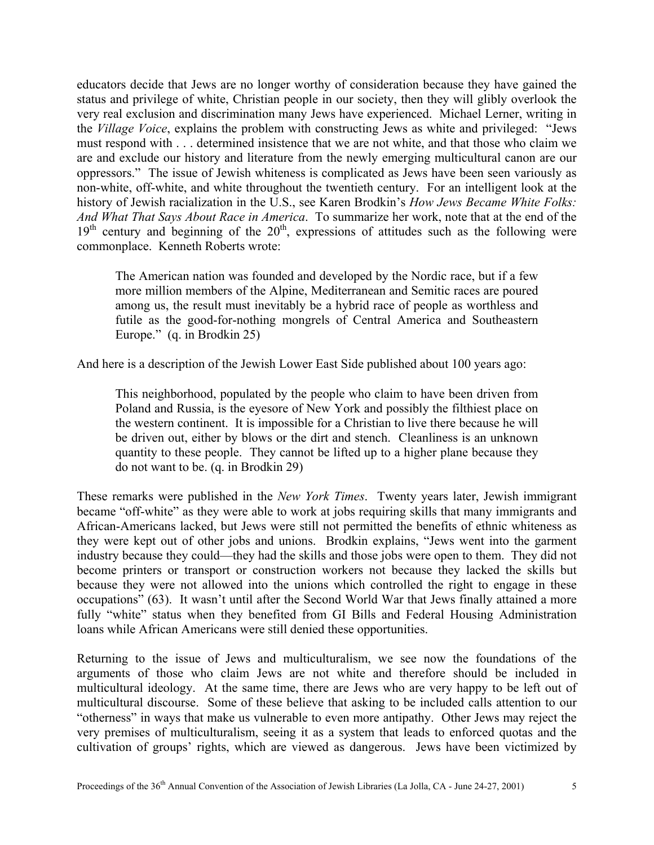educators decide that Jews are no longer worthy of consideration because they have gained the status and privilege of white, Christian people in our society, then they will glibly overlook the very real exclusion and discrimination many Jews have experienced. Michael Lerner, writing in the *Village Voice*, explains the problem with constructing Jews as white and privileged: "Jews must respond with . . . determined insistence that we are not white, and that those who claim we are and exclude our history and literature from the newly emerging multicultural canon are our oppressors." The issue of Jewish whiteness is complicated as Jews have been seen variously as non-white, off-white, and white throughout the twentieth century. For an intelligent look at the history of Jewish racialization in the U.S., see Karen Brodkin's *How Jews Became White Folks: And What That Says About Race in America*. To summarize her work, note that at the end of the  $19<sup>th</sup>$  century and beginning of the  $20<sup>th</sup>$ , expressions of attitudes such as the following were commonplace. Kenneth Roberts wrote:

The American nation was founded and developed by the Nordic race, but if a few more million members of the Alpine, Mediterranean and Semitic races are poured among us, the result must inevitably be a hybrid race of people as worthless and futile as the good-for-nothing mongrels of Central America and Southeastern Europe." (q. in Brodkin 25)

And here is a description of the Jewish Lower East Side published about 100 years ago:

This neighborhood, populated by the people who claim to have been driven from Poland and Russia, is the eyesore of New York and possibly the filthiest place on the western continent. It is impossible for a Christian to live there because he will be driven out, either by blows or the dirt and stench. Cleanliness is an unknown quantity to these people. They cannot be lifted up to a higher plane because they do not want to be. (q. in Brodkin 29)

These remarks were published in the *New York Times*. Twenty years later, Jewish immigrant became "off-white" as they were able to work at jobs requiring skills that many immigrants and African-Americans lacked, but Jews were still not permitted the benefits of ethnic whiteness as they were kept out of other jobs and unions. Brodkin explains, "Jews went into the garment industry because they could—they had the skills and those jobs were open to them. They did not become printers or transport or construction workers not because they lacked the skills but because they were not allowed into the unions which controlled the right to engage in these occupations" (63). It wasn't until after the Second World War that Jews finally attained a more fully "white" status when they benefited from GI Bills and Federal Housing Administration loans while African Americans were still denied these opportunities.

Returning to the issue of Jews and multiculturalism, we see now the foundations of the arguments of those who claim Jews are not white and therefore should be included in multicultural ideology. At the same time, there are Jews who are very happy to be left out of multicultural discourse. Some of these believe that asking to be included calls attention to our "otherness" in ways that make us vulnerable to even more antipathy. Other Jews may reject the very premises of multiculturalism, seeing it as a system that leads to enforced quotas and the cultivation of groups' rights, which are viewed as dangerous. Jews have been victimized by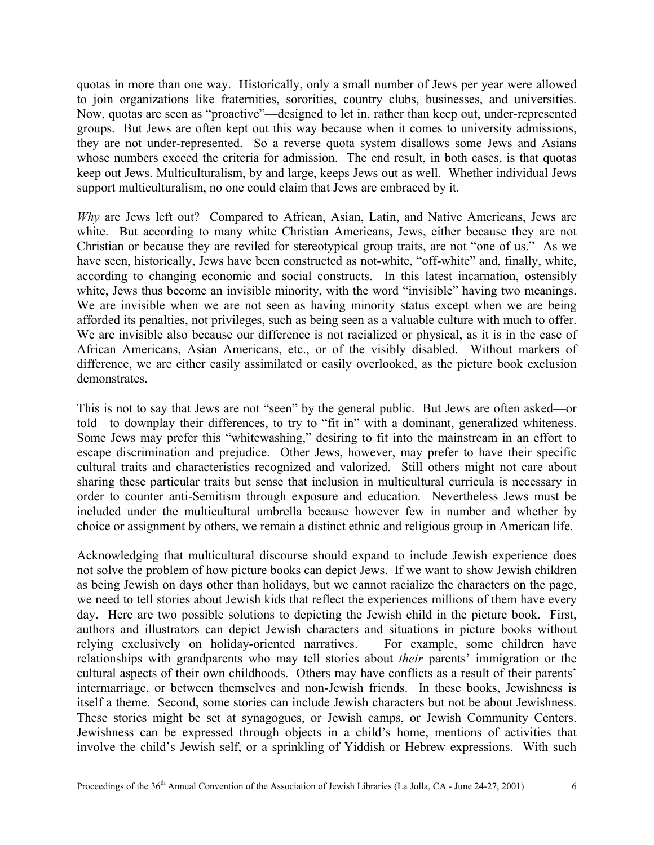quotas in more than one way. Historically, only a small number of Jews per year were allowed to join organizations like fraternities, sororities, country clubs, businesses, and universities. Now, quotas are seen as "proactive"—designed to let in, rather than keep out, under-represented groups. But Jews are often kept out this way because when it comes to university admissions, they are not under-represented. So a reverse quota system disallows some Jews and Asians whose numbers exceed the criteria for admission. The end result, in both cases, is that quotas keep out Jews. Multiculturalism, by and large, keeps Jews out as well. Whether individual Jews support multiculturalism, no one could claim that Jews are embraced by it.

*Why* are Jews left out? Compared to African, Asian, Latin, and Native Americans, Jews are white. But according to many white Christian Americans, Jews, either because they are not Christian or because they are reviled for stereotypical group traits, are not "one of us." As we have seen, historically, Jews have been constructed as not-white, "off-white" and, finally, white, according to changing economic and social constructs. In this latest incarnation, ostensibly white, Jews thus become an invisible minority, with the word "invisible" having two meanings. We are invisible when we are not seen as having minority status except when we are being afforded its penalties, not privileges, such as being seen as a valuable culture with much to offer. We are invisible also because our difference is not racialized or physical, as it is in the case of African Americans, Asian Americans, etc., or of the visibly disabled. Without markers of difference, we are either easily assimilated or easily overlooked, as the picture book exclusion demonstrates.

This is not to say that Jews are not "seen" by the general public. But Jews are often asked—or told—to downplay their differences, to try to "fit in" with a dominant, generalized whiteness. Some Jews may prefer this "whitewashing," desiring to fit into the mainstream in an effort to escape discrimination and prejudice. Other Jews, however, may prefer to have their specific cultural traits and characteristics recognized and valorized. Still others might not care about sharing these particular traits but sense that inclusion in multicultural curricula is necessary in order to counter anti-Semitism through exposure and education. Nevertheless Jews must be included under the multicultural umbrella because however few in number and whether by choice or assignment by others, we remain a distinct ethnic and religious group in American life.

Acknowledging that multicultural discourse should expand to include Jewish experience does not solve the problem of how picture books can depict Jews. If we want to show Jewish children as being Jewish on days other than holidays, but we cannot racialize the characters on the page, we need to tell stories about Jewish kids that reflect the experiences millions of them have every day. Here are two possible solutions to depicting the Jewish child in the picture book. First, authors and illustrators can depict Jewish characters and situations in picture books without relying exclusively on holiday-oriented narratives. For example, some children have relationships with grandparents who may tell stories about *their* parents' immigration or the cultural aspects of their own childhoods. Others may have conflicts as a result of their parents' intermarriage, or between themselves and non-Jewish friends. In these books, Jewishness is itself a theme. Second, some stories can include Jewish characters but not be about Jewishness. These stories might be set at synagogues, or Jewish camps, or Jewish Community Centers. Jewishness can be expressed through objects in a child's home, mentions of activities that involve the child's Jewish self, or a sprinkling of Yiddish or Hebrew expressions. With such